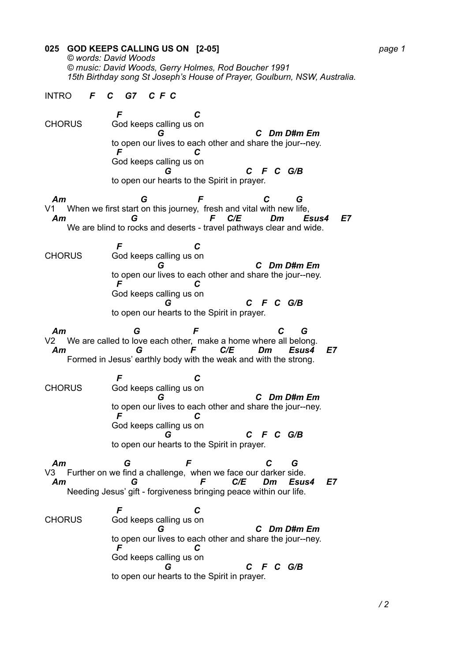**025 GOD KEEPS CALLING US ON [2-05]** *page 1 © words: David Woods © music: David Woods, Gerry Holmes, Rod Boucher 1991 15th Birthday song St Joseph's House of Prayer, Goulburn, NSW, Australia.*  INTRO *F C G7 C F C* 

 *F C* CHORUS God keeps calling us on *G C Dm D#m Em* to open our lives to each other and share the jour--ney. *F C* God keeps calling us on *G C F C G/B* to open our hearts to the Spirit in prayer.

 *Am G F C G* V1 When we first start on this journey, fresh and vital with new life, *Am G F C/E Dm Esus4 E7* We are blind to rocks and deserts - travel pathways clear and wide.

 *F C* CHORUS God keeps calling us on *G C Dm D#m Em* to open our lives to each other and share the jour--ney. *F C* God keeps calling us on *G C F C G/B* to open our hearts to the Spirit in prayer.

 *Am G F C G* V2 We are called to love each other, make a home where all belong. *Am G F C/E Dm Esus4 E7* Formed in Jesus' earthly body with the weak and with the strong.

 *F C* CHORUS God keeps calling us on *G C Dm D#m Em* to open our lives to each other and share the jour--ney. *F C* God keeps calling us on *G C F C G/B* to open our hearts to the Spirit in prayer.

 *Am G F C G* V3 Further on we find a challenge, when we face our darker side. *Am G F C/E Dm Esus4 E7* Needing Jesus' gift - forgiveness bringing peace within our life.

 *F C* CHORUS God keeps calling us on *G C Dm D#m Em* to open our lives to each other and share the jour--ney. *F C* God keeps calling us on *G C F C G/B* to open our hearts to the Spirit in prayer.